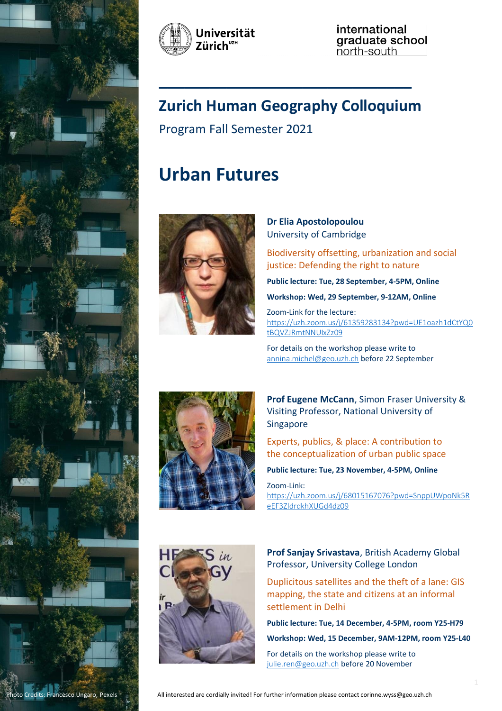



international graduate school<br>north-south

# **Zurich Human Geography Colloquium**

\_\_\_\_\_\_\_\_\_\_\_\_\_\_\_\_\_\_\_\_\_\_\_\_\_\_\_\_\_\_

Program Fall Semester 2021

# **Urban Futures**



### **Dr Elia Apostolopoulou** University of Cambridge

Biodiversity offsetting, urbanization and social justice: Defending the right to nature

**Public lecture: Tue, 28 September, 4-5PM, Online**

**Workshop: Wed, 29 September, 9-12AM, Online**

Zoom-Link for the lecture: [https://uzh.zoom.us/j/61359283134?pwd=UE1oazh1dCtYQ0](https://uzh.zoom.us/j/61359283134?pwd=UE1oazh1dCtYQ0tBQVZJRmtNNUIxZz09) [tBQVZJRmtNNUIxZz09](https://uzh.zoom.us/j/61359283134?pwd=UE1oazh1dCtYQ0tBQVZJRmtNNUIxZz09)

For details on the workshop please write to [annina.michel@geo.uzh.ch](mailto:annina.michel@geo.uzh.ch) before 22 September



**Prof Eugene McCann**, Simon Fraser University & Visiting Professor, National University of Singapore

Experts, publics, & place: A contribution to the conceptualization of urban public space

**Public lecture: Tue, 23 November, 4-5PM, Online**

Zoom-Link: [https://uzh.zoom.us/j/68015167076?pwd=SnppUWpoNk5R](https://uzh.zoom.us/j/68015167076?pwd=SnppUWpoNk5ReEF3ZldrdkhXUGd4dz09) [eEF3ZldrdkhXUGd4dz09](https://uzh.zoom.us/j/68015167076?pwd=SnppUWpoNk5ReEF3ZldrdkhXUGd4dz09)



**Prof Sanjay Srivastava**, British Academy Global Professor, University College London

Duplicitous satellites and the theft of a lane: GIS mapping, the state and citizens at an informal settlement in Delhi

**Public lecture: Tue, 14 December, 4-5PM, room Y25-H79**

**Workshop: Wed, 15 December, 9AM-12PM, room Y25-L40**

For details on the workshop please write to [julie.ren@geo.uzh.ch](mailto:julie.ren@geo.uzh.ch) before 20 November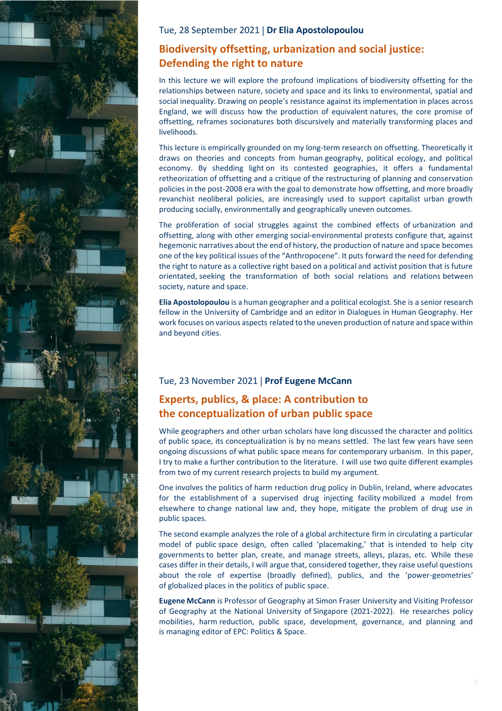

#### Tue, 28 September 2021 **Dr Elia Apostolopoulou**

# **Biodiversity offsetting, urbanization and social justice: Defending the right to nature**

In this lecture we will explore the profound implications of biodiversity offsetting for the relationships between nature, society and space and its links to environmental, spatial and social inequality. Drawing on people's resistance against its implementation in places across England, we will discuss how the production of equivalent natures, the core promise of offsetting, reframes socionatures both discursively and materially transforming places and livelihoods.

This lecture is empirically grounded on my long-term research on offsetting. Theoretically it draws on theories and concepts from human geography, political ecology, and political economy. By shedding light on its contested geographies, it offers a fundamental retheorization of offsetting and a critique of the restructuring of planning and conservation policies in the post-2008 era with the goal to demonstrate how offsetting, and more broadly revanchist neoliberal policies, are increasingly used to support capitalist urban growth producing socially, environmentally and geographically uneven outcomes.

The proliferation of social struggles against the combined effects of urbanization and offsetting, along with other emerging social-environmental protests configure that, against hegemonic narratives about the end of history, the production of nature and space becomes one of the key political issues of the "Anthropocene". It puts forward the need for defending the right to nature as a collective right based on a political and activist position that is future orientated, seeking the transformation of both social relations and relations between society, nature and space.

**Elia Apostolopoulou** is a human geographer and a political ecologist. She is a senior research fellow in the University of Cambridge and an editor in Dialogues in Human Geography. Her work focuses on various aspects related to the uneven production of nature and space within and beyond cities.

### Tue, 23 November 2021 **Prof Eugene McCann**

# **Experts, publics, & place: A contribution to the conceptualization of urban public space**

While geographers and other urban scholars have long discussed the character and politics of public space, its conceptualization is by no means settled. The last few years have seen ongoing discussions of what public space means for contemporary urbanism. In this paper, I try to make a further contribution to the literature. I will use two quite different examples from two of my current research projects to build my argument.

One involves the politics of harm reduction drug policy in Dublin, Ireland, where advocates for the establishment of a supervised drug injecting facility mobilized a model from elsewhere to change national law and, they hope, mitigate the problem of drug use in public spaces.

The second example analyzes the role of a global architecture firm in circulating a particular model of public space design, often called 'placemaking,' that is intended to help city governments to better plan, create, and manage streets, alleys, plazas, etc. While these cases differ in their details, I will argue that, considered together, they raise useful questions about the role of expertise (broadly defined), publics, and the 'power-geometries' of globalized places in the politics of public space.

**Eugene McCann** is Professor of Geography at Simon Fraser University and Visiting Professor of Geography at the National University of Singapore (2021-2022). He researches policy mobilities, harm reduction, public space, development, governance, and planning and is managing editor of EPC: Politics & Space.